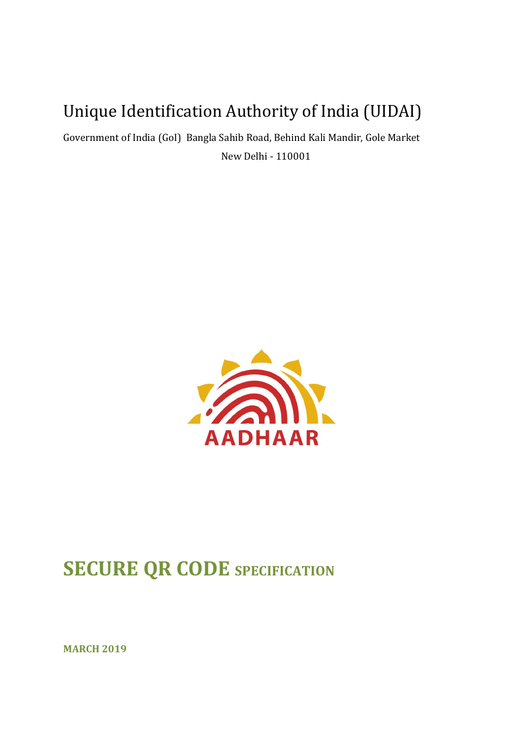# Unique Identification Authority of India (UIDAI)

Government of India (GoI) Bangla Sahib Road, Behind Kali Mandir, Gole Market New Delhi - 110001



# **SECURE QR CODE** SPECIFICATION

**MARCH 2019**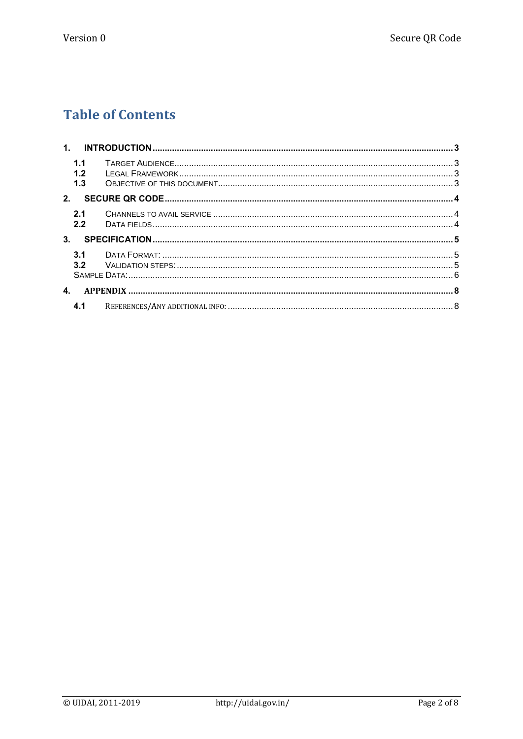### **Table of Contents**

|    | 1.1<br>1.2<br>1.3 |  |
|----|-------------------|--|
| 2. |                   |  |
|    | 2.1<br>2.2        |  |
| 3. |                   |  |
|    | 3.1<br>3.2        |  |
| 4. |                   |  |
|    | 4.1               |  |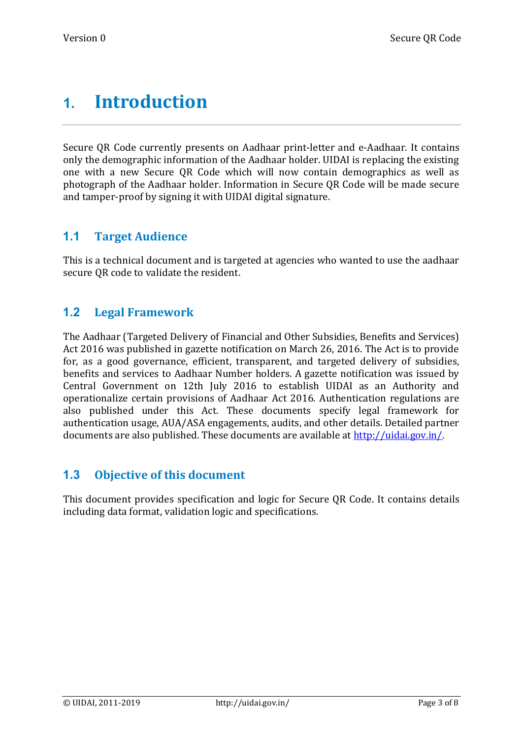## <span id="page-2-0"></span>**1. Introduction**

Secure QR Code currently presents on Aadhaar print-letter and e-Aadhaar. It contains only the demographic information of the Aadhaar holder. UIDAI is replacing the existing one with a new Secure QR Code which will now contain demographics as well as photograph of the Aadhaar holder. Information in Secure QR Code will be made secure and tamper-proof by signing it with UIDAI digital signature.

#### <span id="page-2-1"></span>**1.1 Target Audience**

This is a technical document and is targeted at agencies who wanted to use the aadhaar secure QR code to validate the resident.

#### <span id="page-2-2"></span>**1.2 Legal Framework**

The Aadhaar (Targeted Delivery of Financial and Other Subsidies, Benefits and Services) Act 2016 was published in gazette notification on March 26, 2016. The Act is to provide for, as a good governance, efficient, transparent, and targeted delivery of subsidies, benefits and services to Aadhaar Number holders. A gazette notification was issued by Central Government on 12th July 2016 to establish UIDAI as an Authority and operationalize certain provisions of Aadhaar Act 2016. Authentication regulations are also published under this Act. These documents specify legal framework for authentication usage, AUA/ASA engagements, audits, and other details. Detailed partner documents are also published. These documents are available at http://uidai.gov.in/

#### <span id="page-2-3"></span>**1.3 Objective of this document**

This document provides specification and logic for Secure QR Code. It contains details including data format, validation logic and specifications.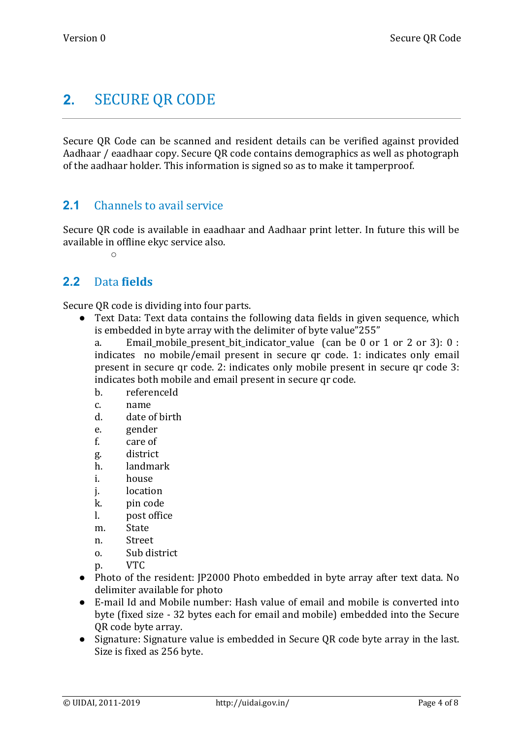### <span id="page-3-0"></span>**2.** SECURE QR CODE

Secure QR Code can be scanned and resident details can be verified against provided Aadhaar / eaadhaar copy. Secure QR code contains demographics as well as photograph of the aadhaar holder. This information is signed so as to make it tamperproof.

#### <span id="page-3-1"></span>**2.1** Channels to avail service

Secure QR code is available in eaadhaar and Aadhaar print letter. In future this will be available in offline ekyc service also.

 $\circ$ 

#### <span id="page-3-2"></span>**2.2** Data **fields**

Secure QR code is dividing into four parts.

● Text Data: Text data contains the following data fields in given sequence, which is embedded in byte array with the delimiter of byte value"255"

a. Email mobile present bit indicator value (can be 0 or 1 or 2 or 3): 0 : indicates no mobile/email present in secure qr code. 1: indicates only email present in secure qr code. 2: indicates only mobile present in secure qr code 3: indicates both mobile and email present in secure qr code.

- b. referenceId
- c. name
- d. date of birth
- e. gender
- f. care of
- g. district
- h. landmark
- i. house
- j. location
- k. pin code
- l. post office
- m. State
- n. Street
- o. Sub district
- p. VTC
- Photo of the resident: JP2000 Photo embedded in byte array after text data. No delimiter available for photo
- E-mail Id and Mobile number: Hash value of email and mobile is converted into byte (fixed size - 32 bytes each for email and mobile) embedded into the Secure QR code byte array.
- Signature: Signature value is embedded in Secure QR code byte array in the last. Size is fixed as 256 byte.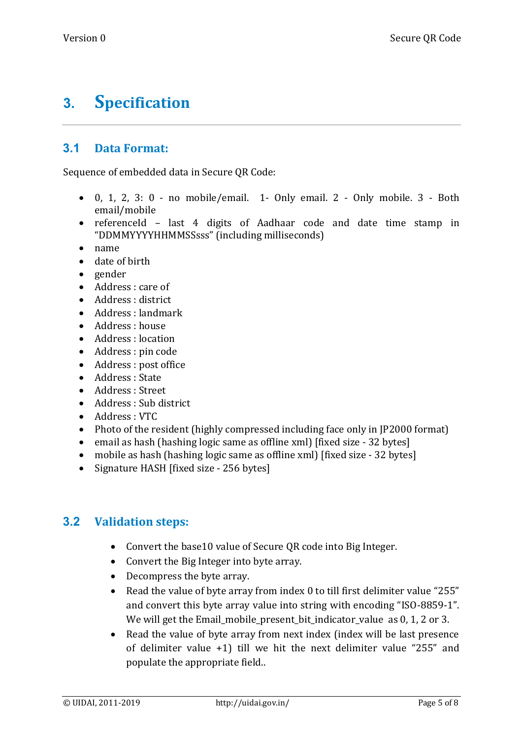## <span id="page-4-0"></span>**3. Specification**

#### <span id="page-4-1"></span>**3.1 Data Format:**

Sequence of embedded data in Secure QR Code:

- $\bullet$  0, 1, 2, 3: 0 no mobile/email. 1- Only email. 2 Only mobile. 3 Both email/mobile
- referenceId last 4 digits of Aadhaar code and date time stamp in "DDMMYYYYHHMMSSsss" (including milliseconds)
- name
- date of birth
- gender
- Address : care of
- Address : district
- Address : landmark
- Address : house
- Address : location
- Address : pin code
- Address : post office
- Address : State
- Address : Street
- Address : Sub district
- Address : VTC
- Photo of the resident (highly compressed including face only in JP2000 format)
- email as hash (hashing logic same as offline xml) [fixed size 32 bytes]
- mobile as hash (hashing logic same as offline xml) [fixed size 32 bytes]
- Signature HASH [fixed size 256 bytes]

#### <span id="page-4-2"></span>**3.2 Validation steps:**

- Convert the base10 value of Secure QR code into Big Integer.
- Convert the Big Integer into byte array.
- Decompress the byte array.
- Read the value of byte array from index 0 to till first delimiter value "255" and convert this byte array value into string with encoding "ISO-8859-1". We will get the Email mobile present bit indicator value as 0, 1, 2 or 3.
- Read the value of byte array from next index (index will be last presence of delimiter value +1) till we hit the next delimiter value "255" and populate the appropriate field..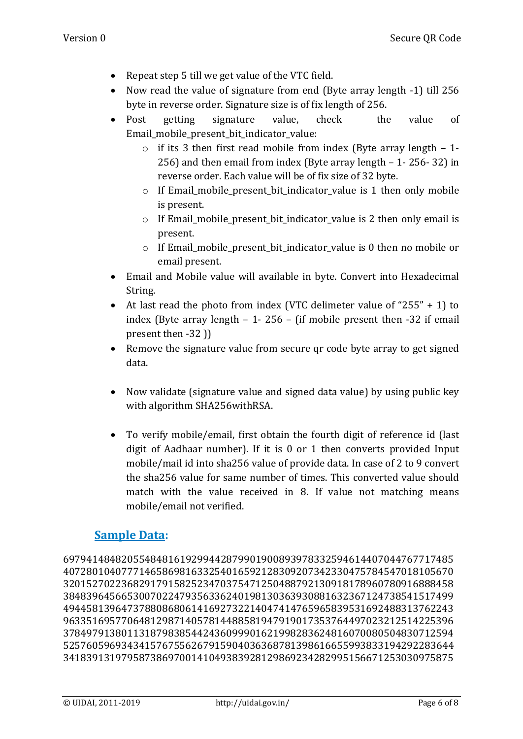- Repeat step 5 till we get value of the VTC field.
- Now read the value of signature from end (Byte array length -1) till 256 byte in reverse order. Signature size is of fix length of 256.
- Post getting signature value, check the value of Email mobile present bit indicator value:
	- o if its 3 then first read mobile from index (Byte array length 1- 256) and then email from index (Byte array length – 1- 256- 32) in reverse order. Each value will be of fix size of 32 byte.
	- o If Email\_mobile\_present\_bit\_indicator\_value is 1 then only mobile is present.
	- $\circ$  If Email mobile present bit indicator value is 2 then only email is present.
	- o If Email\_mobile\_present\_bit\_indicator\_value is 0 then no mobile or email present.
- Email and Mobile value will available in byte. Convert into Hexadecimal String.
- At last read the photo from index (VTC delimeter value of "255" + 1) to index (Byte array length – 1- 256 – (if mobile present then -32 if email present then -32 ))
- Remove the signature value from secure qr code byte array to get signed data.
- Now validate (signature value and signed data value) by using public key with algorithm SHA256withRSA.
- To verify mobile/email, first obtain the fourth digit of reference id (last digit of Aadhaar number). If it is 0 or 1 then converts provided Input mobile/mail id into sha256 value of provide data. In case of 2 to 9 convert the sha256 value for same number of times. This converted value should match with the value received in 8. If value not matching means mobile/email not verified.

#### <span id="page-5-0"></span>**Sample Data:**

6979414848205548481619299442879901900893978332594614407044767717485 4072801040777146586981633254016592128309207342330475784547018105670 3201527022368291791582523470375471250488792130918178960780916888458 3848396456653007022479356336240198130363930881632367124738541517499 4944581396473788086806141692732214047414765965839531692488313762243 9633516957706481298714057814488581947919017353764497023212514225396 3784979138011318798385442436099901621998283624816070080504830712594 5257605969343415767556267915904036368781398616655993833194292283644 3418391319795873869700141049383928129869234282995156671253030975875